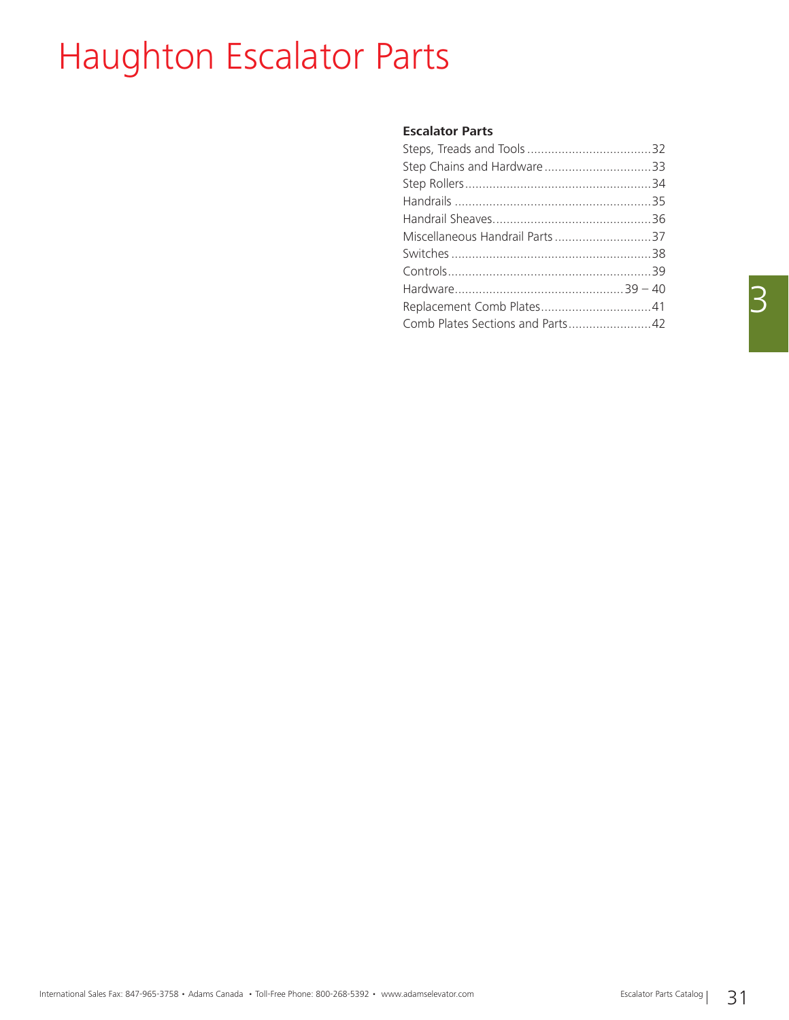# Haughton Escalator Parts

### **Escalator Parts**

| Miscellaneous Handrail Parts37   |  |
|----------------------------------|--|
|                                  |  |
|                                  |  |
|                                  |  |
|                                  |  |
| Comb Plates Sections and Parts42 |  |
|                                  |  |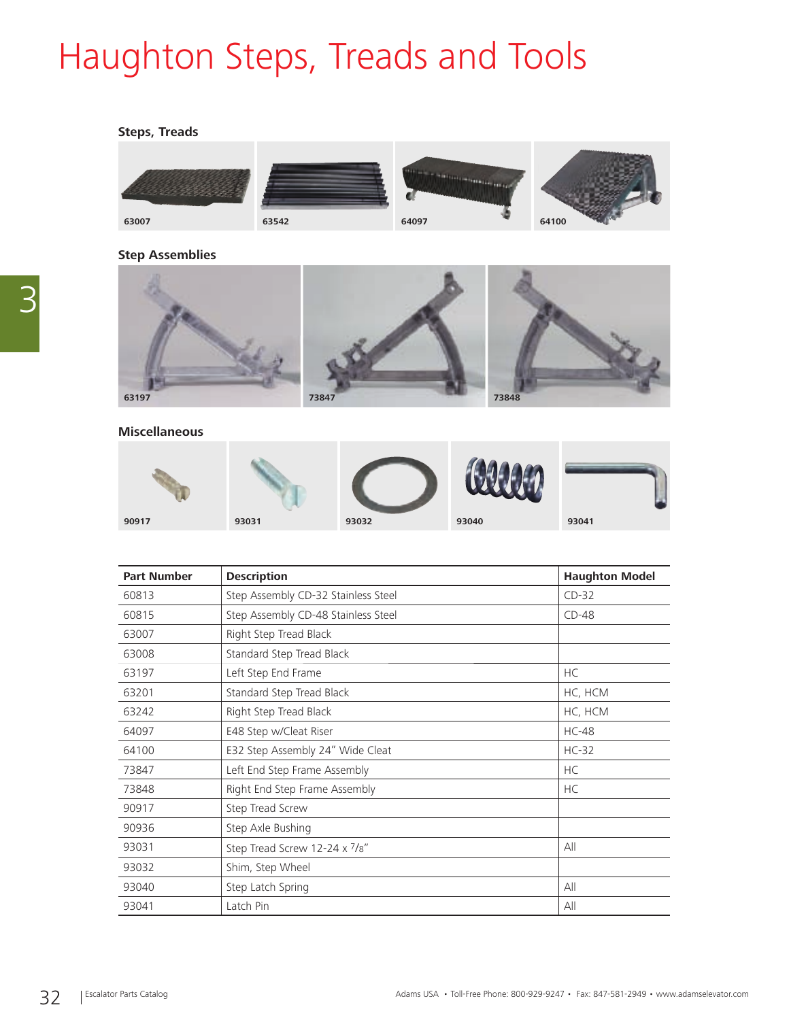# Haughton Steps, Treads and Tools

### **Steps, Treads**



### **Step Assemblies**



### **Miscellaneous**

|       |       |       | $-999$<br><b>GAS</b> |       |
|-------|-------|-------|----------------------|-------|
| 90917 | 93031 | 93032 | 93040                | 93041 |

| <b>Part Number</b> | <b>Haughton Model</b><br><b>Description</b> |              |
|--------------------|---------------------------------------------|--------------|
| 60813              | Step Assembly CD-32 Stainless Steel         | $CD-32$      |
| 60815              | Step Assembly CD-48 Stainless Steel         | $CD-48$      |
| 63007              | Right Step Tread Black                      |              |
| 63008              | Standard Step Tread Black                   |              |
| 63197              | Left Step End Frame                         | <b>HC</b>    |
| 63201              | Standard Step Tread Black                   | HC, HCM      |
| 63242              | Right Step Tread Black                      | HC, HCM      |
| 64097              | E48 Step w/Cleat Riser                      | <b>HC-48</b> |
| 64100              | E32 Step Assembly 24" Wide Cleat            | $HC-32$      |
| 73847              | Left End Step Frame Assembly                | <b>HC</b>    |
| 73848              | Right End Step Frame Assembly               | <b>HC</b>    |
| 90917              | Step Tread Screw                            |              |
| 90936              | Step Axle Bushing                           |              |
| 93031              | Step Tread Screw 12-24 x 7/8"               | All          |
| 93032              | Shim, Step Wheel                            |              |
| 93040              | Step Latch Spring                           | All          |
| 93041              | Latch Pin                                   | All          |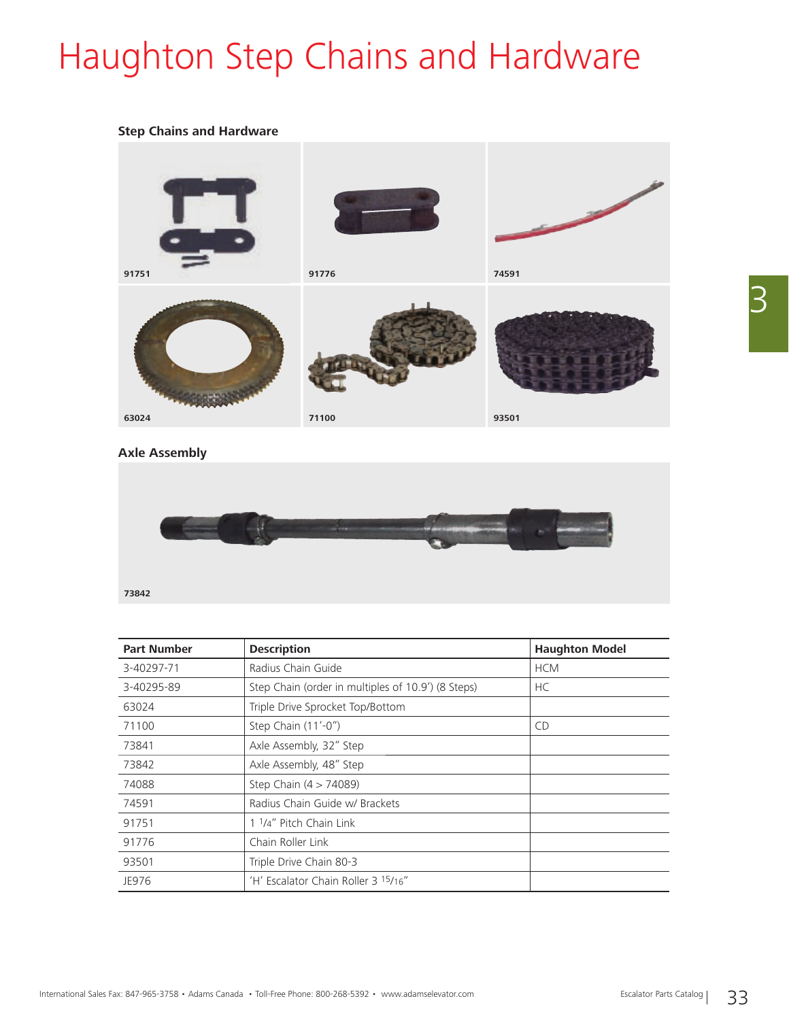# Haughton Step Chains and Hardware

### **Step Chains and Hardware**



### **Axle Assembly**



| <b>Part Number</b> | <b>Haughton Model</b><br><b>Description</b>        |            |
|--------------------|----------------------------------------------------|------------|
| 3-40297-71         | Radius Chain Guide                                 | <b>HCM</b> |
| 3-40295-89         | Step Chain (order in multiples of 10.9') (8 Steps) | HC         |
| 63024              | Triple Drive Sprocket Top/Bottom                   |            |
| 71100              | Step Chain (11'-0")                                | <b>CD</b>  |
| 73841              | Axle Assembly, 32" Step                            |            |
| 73842              | Axle Assembly, 48" Step                            |            |
| 74088              | Step Chain (4 > 74089)                             |            |
| 74591              | Radius Chain Guide w/ Brackets                     |            |
| 91751              | 1 <sup>1</sup> /4" Pitch Chain Link                |            |
| 91776              | Chain Roller Link                                  |            |
| 93501              | Triple Drive Chain 80-3                            |            |
| JE976              | 'H' Escalator Chain Roller 3 15/16"                |            |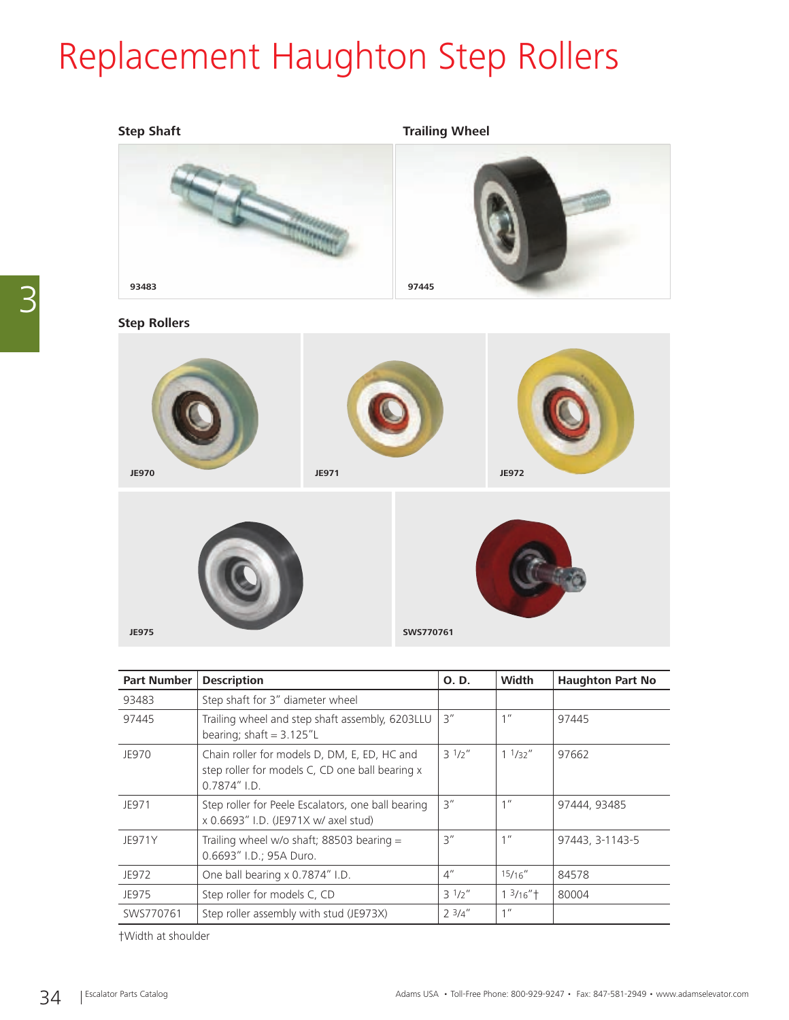## Replacement Haughton Step Rollers



### **Step Rollers**





| <b>Part Number</b> | <b>Description</b>                                                                                                 | O. D.              | Width                           | <b>Haughton Part No</b> |
|--------------------|--------------------------------------------------------------------------------------------------------------------|--------------------|---------------------------------|-------------------------|
| 93483              | Step shaft for 3" diameter wheel                                                                                   |                    |                                 |                         |
| 97445              | Trailing wheel and step shaft assembly, 6203LLU<br>bearing; shaft = $3.125''$ L                                    | 3''                | 1 <sup>''</sup>                 | 97445                   |
| JE970              | Chain roller for models D, DM, E, ED, HC and<br>step roller for models C, CD one ball bearing x<br>$0.7874''$ I.D. | $3^{1/2}$          | 11/32''                         | 97662                   |
| JE971              | Step roller for Peele Escalators, one ball bearing<br>x 0.6693" I.D. (JE971X w/ axel stud)                         | 3''                | 1 <sup>II</sup>                 | 97444, 93485            |
| JE971Y             | Trailing wheel w/o shaft; 88503 bearing $=$<br>0.6693" I.D.; 95A Duro.                                             | 3''                | 1 <sup>''</sup>                 | 97443, 3-1143-5         |
| JE972              | One ball bearing x 0.7874" I.D.                                                                                    | $4^{\prime\prime}$ | 15/16''                         | 84578                   |
| JE975              | Step roller for models C, CD                                                                                       | $3^{1/2}$          | $1 \frac{3}{16}$ " <sup>+</sup> | 80004                   |
| SWS770761          | Step roller assembly with stud (JE973X)                                                                            | $2^{3}/4''$        | 1''                             |                         |

†Width at shoulder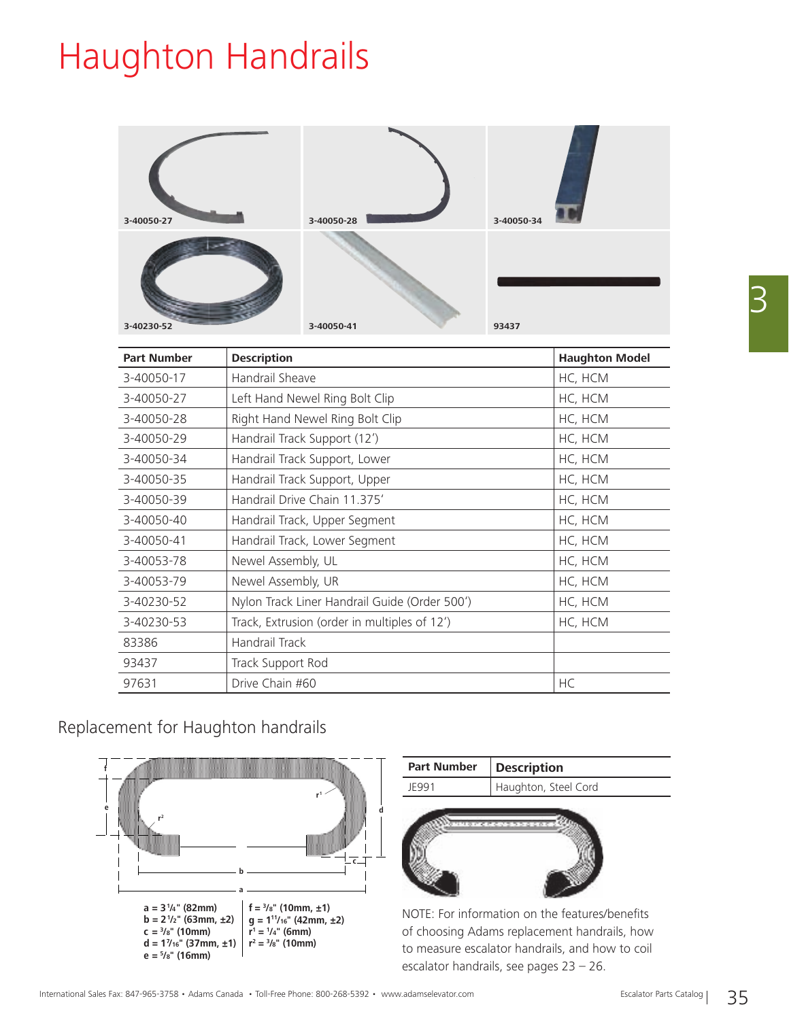## Haughton Handrails

| 3-40050-27 | 3-40050-28 | 3-40050-34 |
|------------|------------|------------|
| 3-40230-52 | 3-40050-41 | 93437      |

| <b>Part Number</b> | <b>Description</b>                            | <b>Haughton Model</b> |
|--------------------|-----------------------------------------------|-----------------------|
| 3-40050-17         | Handrail Sheave                               | HC, HCM               |
| 3-40050-27         | Left Hand Newel Ring Bolt Clip                | HC, HCM               |
| 3-40050-28         | Right Hand Newel Ring Bolt Clip               | HC, HCM               |
| 3-40050-29         | Handrail Track Support (12')                  | HC, HCM               |
| 3-40050-34         | Handrail Track Support, Lower                 | HC, HCM               |
| 3-40050-35         | Handrail Track Support, Upper                 | HC, HCM               |
| 3-40050-39         | Handrail Drive Chain 11.375'                  | HC, HCM               |
| 3-40050-40         | Handrail Track, Upper Segment                 | HC, HCM               |
| 3-40050-41         | Handrail Track, Lower Segment                 | HC, HCM               |
| 3-40053-78         | Newel Assembly, UL                            | HC, HCM               |
| 3-40053-79         | Newel Assembly, UR                            | HC, HCM               |
| 3-40230-52         | Nylon Track Liner Handrail Guide (Order 500') | HC, HCM               |
| 3-40230-53         | Track, Extrusion (order in multiples of 12')  | HC, HCM               |
| 83386              | Handrail Track                                |                       |
| 93437              | Track Support Rod                             |                       |
| 97631              | Drive Chain #60                               | HC                    |

### Replacement for Haughton handrails





NOTE: For information on the features/benefits of choosing Adams replacement handrails, how to measure escalator handrails, and how to coil escalator handrails, see pages 23 – 26.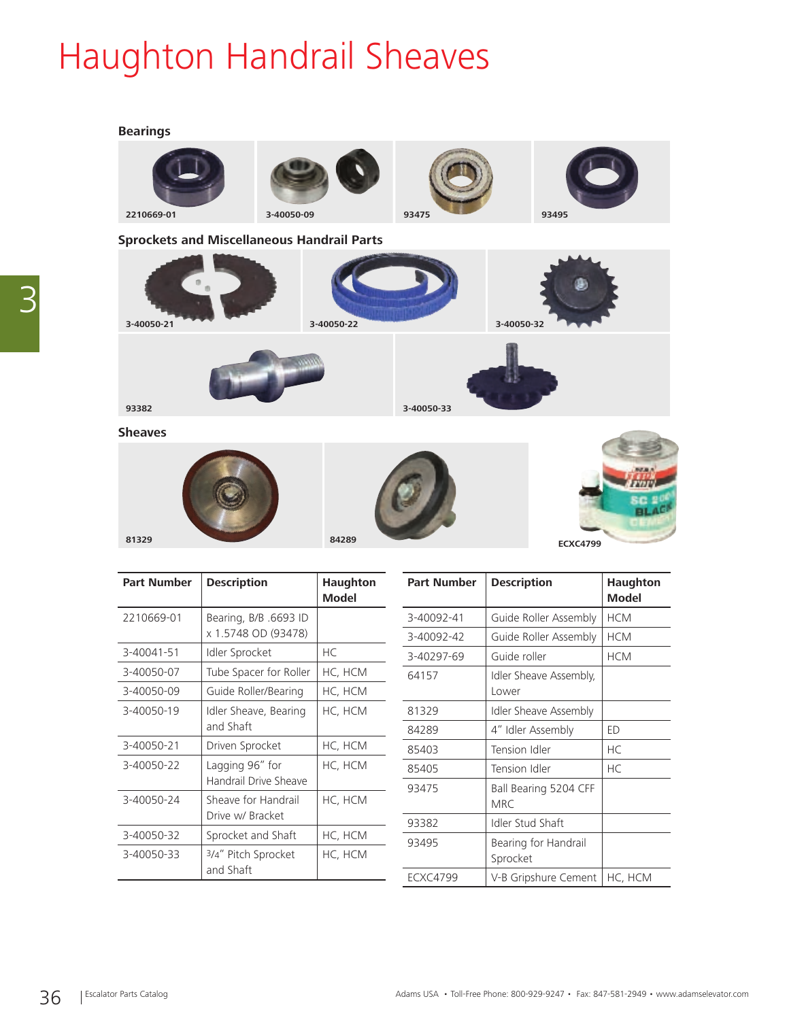# Haughton Handrail Sheaves

### **Bearings**



| <b>Part Number</b> | <b>Description</b>     | <b>Haughton</b><br><b>Model</b> | <b>Part Number</b> | <b>Description</b>           | Haughton<br><b>Model</b> |
|--------------------|------------------------|---------------------------------|--------------------|------------------------------|--------------------------|
| 2210669-01         | Bearing, B/B .6693 ID  |                                 | 3-40092-41         | Guide Roller Assembly        | <b>HCM</b>               |
|                    | x 1.5748 OD (93478)    |                                 | 3-40092-42         | Guide Roller Assembly        | <b>HCM</b>               |
| 3-40041-51         | Idler Sprocket         | HC                              | 3-40297-69         | Guide roller                 | <b>HCM</b>               |
| 3-40050-07         | Tube Spacer for Roller | HC, HCM                         | 64157              | Idler Sheave Assembly,       |                          |
| 3-40050-09         | Guide Roller/Bearing   | HC, HCM                         |                    | Lower                        |                          |
| 3-40050-19         | Idler Sheave, Bearing  | HC, HCM                         | 81329              | <b>Idler Sheave Assembly</b> |                          |
|                    | and Shaft              |                                 | 84289              | 4" Idler Assembly            | ED                       |
| 3-40050-21         | Driven Sprocket        | HC, HCM                         | 85403              | Tension Idler                | <b>HC</b>                |
| 3-40050-22         | Lagging 96" for        | HC, HCM                         | 85405              | Tension Idler                | <b>HC</b>                |
|                    | Handrail Drive Sheave  |                                 | 93475              | Ball Bearing 5204 CFF        |                          |
| 3-40050-24         | Sheave for Handrail    | HC, HCM                         |                    | <b>MRC</b>                   |                          |
|                    | Drive w/ Bracket       |                                 | 93382              | Idler Stud Shaft             |                          |
| 3-40050-32         | Sprocket and Shaft     | HC, HCM                         | 93495              | Bearing for Handrail         |                          |
| 3-40050-33         | 3/4" Pitch Sprocket    | HC, HCM                         |                    | Sprocket                     |                          |
|                    | and Shaft              |                                 | <b>ECXC4799</b>    | V-B Gripshure Cement         | HC, HCM                  |
|                    |                        |                                 |                    |                              |                          |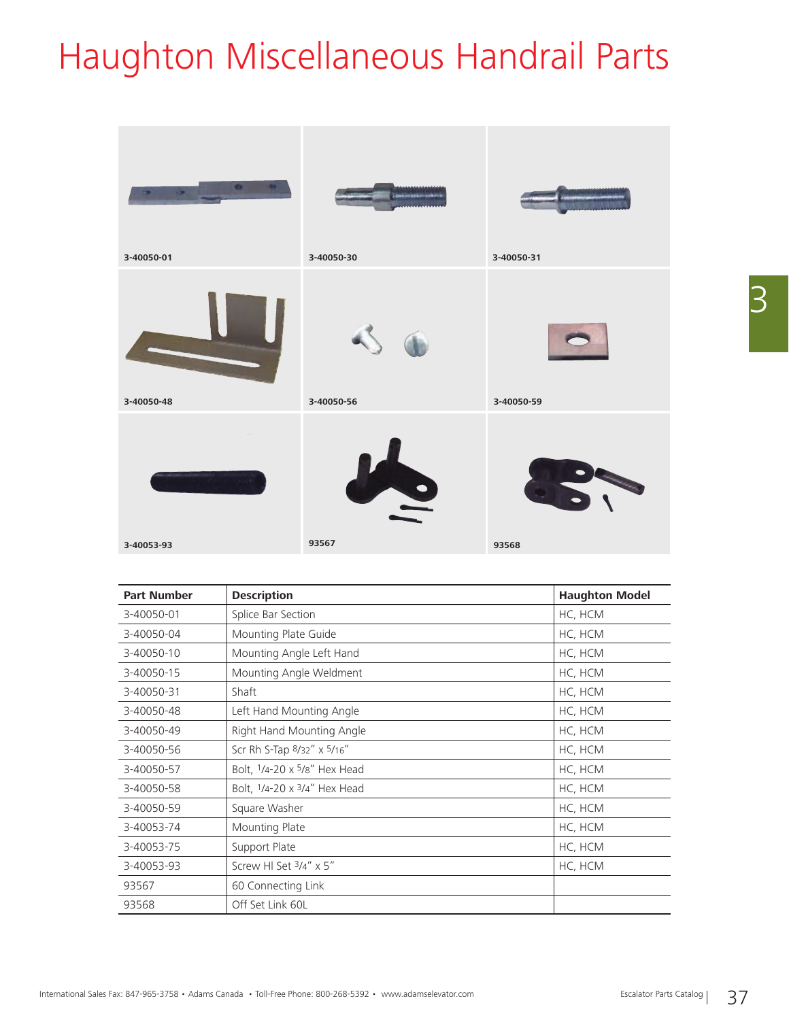# Haughton Miscellaneous Handrail Parts



| <b>Part Number</b> | <b>Description</b>                     | <b>Haughton Model</b> |
|--------------------|----------------------------------------|-----------------------|
| 3-40050-01         | Splice Bar Section                     | HC, HCM               |
| 3-40050-04         | Mounting Plate Guide                   | HC, HCM               |
| 3-40050-10         | Mounting Angle Left Hand               | HC, HCM               |
| 3-40050-15         | Mounting Angle Weldment                | HC, HCM               |
| 3-40050-31         | Shaft                                  | HC, HCM               |
| 3-40050-48         | Left Hand Mounting Angle               | HC, HCM               |
| 3-40050-49         | Right Hand Mounting Angle              | HC, HCM               |
| 3-40050-56         | Scr Rh S-Tap 8/32" x 5/16"             | HC, HCM               |
| 3-40050-57         | Bolt, 1/4-20 x 5/8" Hex Head           | HC, HCM               |
| 3-40050-58         | Bolt, $1/4 - 20 \times 3/4$ " Hex Head | HC, HCM               |
| 3-40050-59         | Square Washer                          | HC, HCM               |
| 3-40053-74         | Mounting Plate                         | HC, HCM               |
| 3-40053-75         | Support Plate                          | HC, HCM               |
| 3-40053-93         | Screw HI Set 3/4" x 5"                 | HC, HCM               |
| 93567              | 60 Connecting Link                     |                       |
| 93568              | Off Set Link 60L                       |                       |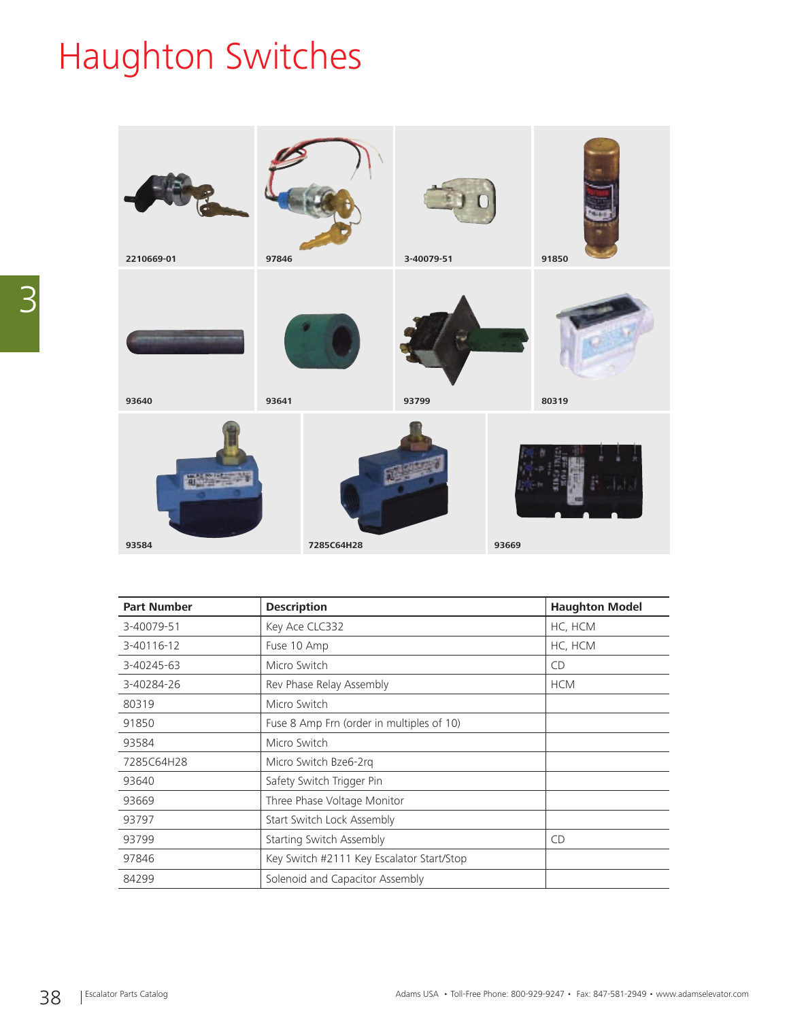# Haughton Switches



| <b>Part Number</b> | <b>Haughton Model</b><br><b>Description</b> |            |
|--------------------|---------------------------------------------|------------|
| 3-40079-51         | Key Ace CLC332                              | HC, HCM    |
| 3-40116-12         | Fuse 10 Amp                                 | HC, HCM    |
| 3-40245-63         | Micro Switch                                | <b>CD</b>  |
| 3-40284-26         | Rev Phase Relay Assembly                    | <b>HCM</b> |
| 80319              | Micro Switch                                |            |
| 91850              | Fuse 8 Amp Frn (order in multiples of 10)   |            |
| 93584              | Micro Switch                                |            |
| 7285C64H28         | Micro Switch Bze6-2rg                       |            |
| 93640              | Safety Switch Trigger Pin                   |            |
| 93669              | Three Phase Voltage Monitor                 |            |
| 93797              | Start Switch Lock Assembly                  |            |
| 93799              | Starting Switch Assembly                    | <b>CD</b>  |
| 97846              | Key Switch #2111 Key Escalator Start/Stop   |            |
| 84299              | Solenoid and Capacitor Assembly             |            |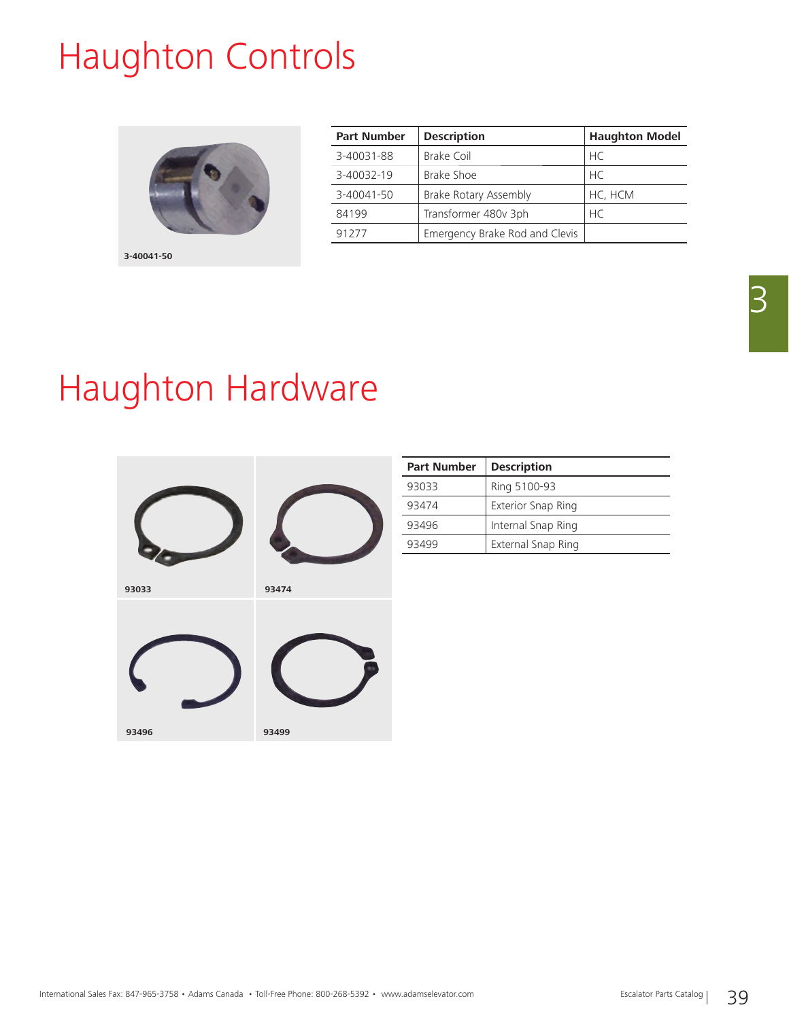## Haughton Controls



| <b>Part Number</b> | <b>Description</b>             | <b>Haughton Model</b> |
|--------------------|--------------------------------|-----------------------|
| 3-40031-88         | Brake Coil                     | <b>HC</b>             |
| 3-40032-19         | Brake Shoe                     | HC                    |
| 3-40041-50         | Brake Rotary Assembly          | HC, HCM               |
| 84199              | Transformer 480v 3ph           | HC.                   |
| 91277              | Emergency Brake Rod and Clevis |                       |

## Haughton Hardware



| <b>Part Number</b> | <b>Description</b>        |
|--------------------|---------------------------|
| 93033              | Ring 5100-93              |
| 93474              | <b>Exterior Snap Ring</b> |
| 93496              | Internal Snap Ring        |
| 93499              | External Snap Ring        |

3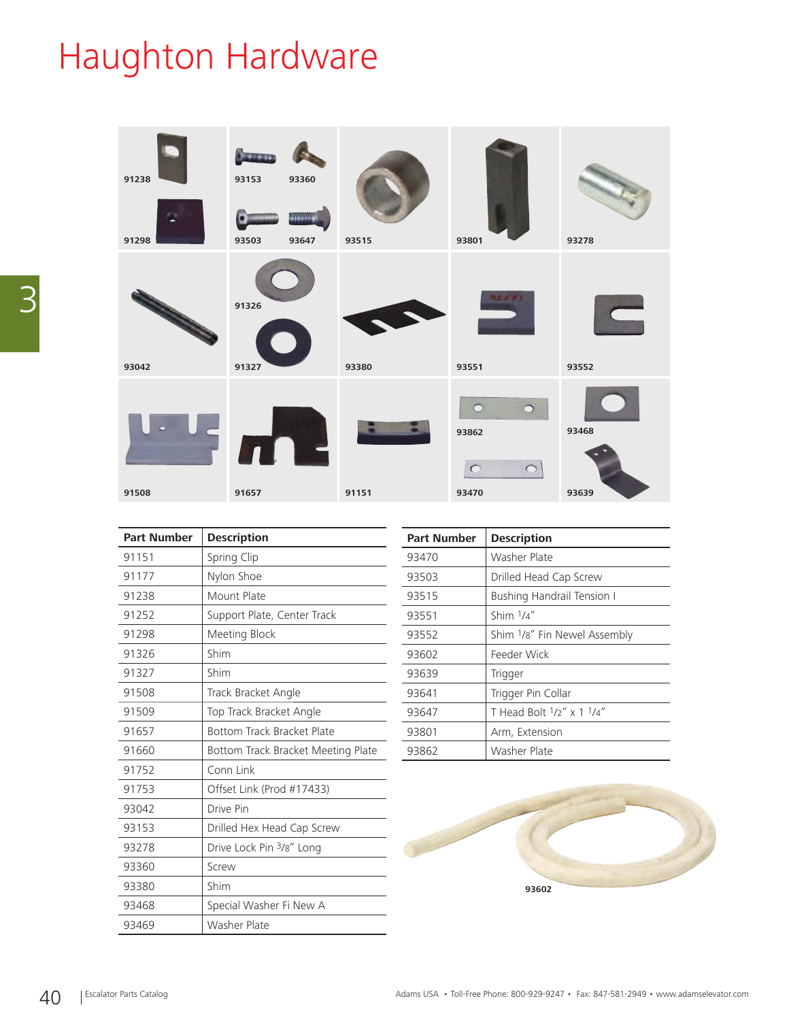# Haughton Hardware



| <b>Part Number</b> | <b>Description</b>                 |  |
|--------------------|------------------------------------|--|
| 91151              | Spring Clip                        |  |
| 91177              | Nylon Shoe                         |  |
| 91238              | Mount Plate                        |  |
| 91252              | Support Plate, Center Track        |  |
| 91298              | Meeting Block                      |  |
| 91326              | Shim                               |  |
| 91327              | Shim                               |  |
| 91508              | Track Bracket Angle                |  |
| 91509              | Top Track Bracket Angle            |  |
| 91657              | Bottom Track Bracket Plate         |  |
| 91660              | Bottom Track Bracket Meeting Plate |  |
| 91752              | Conn Link                          |  |
| 91753              | Offset Link (Prod #17433)          |  |
| 93042              | Drive Pin                          |  |
| 93153              | Drilled Hex Head Cap Screw         |  |
| 93278              | Drive Lock Pin 3/8" Long           |  |
| 93360              | Screw                              |  |
| 93380              | Shim                               |  |
| 93468              | Special Washer Fi New A            |  |
| 93469              | Washer Plate                       |  |

| <b>Part Number</b> | <b>Description</b>                |  |
|--------------------|-----------------------------------|--|
| 93470              | Washer Plate                      |  |
| 93503              | Drilled Head Cap Screw            |  |
| 93515              | <b>Bushing Handrail Tension I</b> |  |
| 93551              | Shim 1/4"                         |  |
| 93552              | Shim 1/8" Fin Newel Assembly      |  |
| 93602              | Feeder Wick                       |  |
| 93639              | Trigger                           |  |
| 93641              | Trigger Pin Collar                |  |
| 93647              | T Head Bolt $1/2$ " x 1 $1/4$ "   |  |
| 93801              | Arm, Extension                    |  |
| 93862              | Washer Plate                      |  |

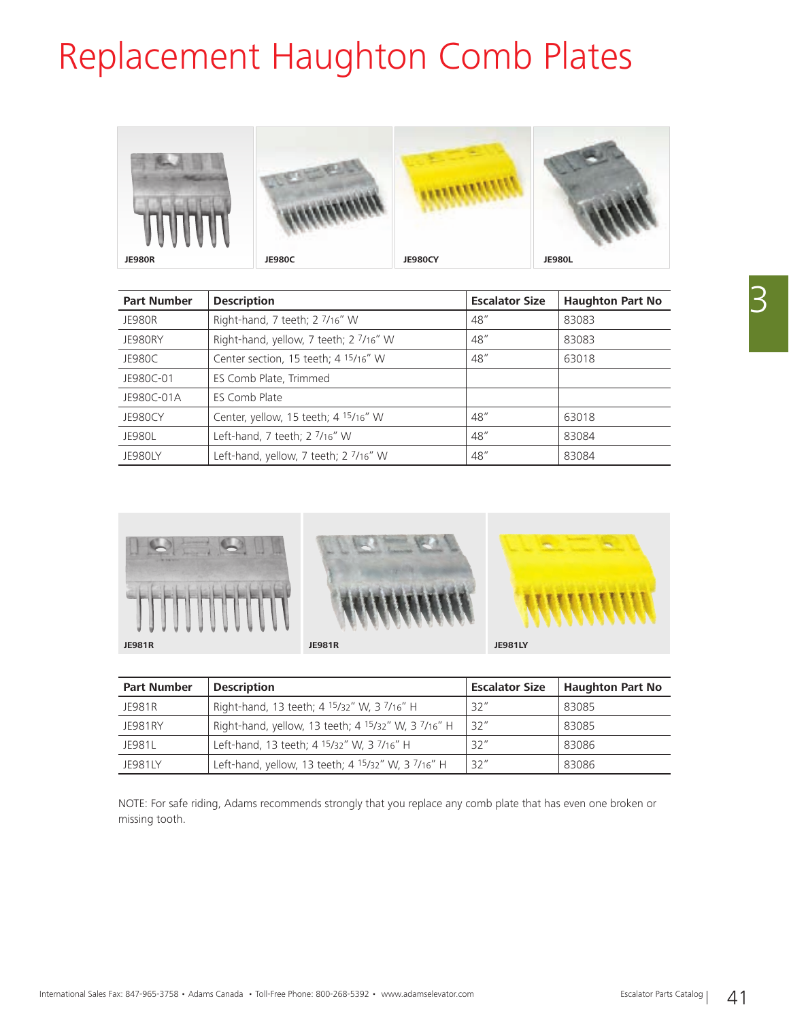# Replacement Haughton Comb Plates



| <b>Part Number</b> | <b>Description</b>                               | <b>Escalator Size</b> | <b>Haughton Part No</b> |
|--------------------|--------------------------------------------------|-----------------------|-------------------------|
| <b>JE980R</b>      | Right-hand, 7 teeth; 2 7/16" W                   | 48''                  | 83083                   |
| JE980RY            | Right-hand, yellow, 7 teeth; 2 7/16" W           | 48"                   | 83083                   |
| JE980C             | Center section, 15 teeth; 4 <sup>15</sup> /16" W | 48''                  | 63018                   |
| JE980C-01          | ES Comb Plate, Trimmed                           |                       |                         |
| JE980C-01A         | ES Comb Plate                                    |                       |                         |
| <b>JE980CY</b>     | Center, yellow, 15 teeth; 4 15/16" W             | 48"                   | 63018                   |
| <b>JE980L</b>      | Left-hand, 7 teeth; 2 7/16" W                    | 48"                   | 83084                   |
| <b>JE980LY</b>     | Left-hand, yellow, 7 teeth; 2 7/16" W            | 48"                   | 83084                   |



| <b>Part Number</b> | <b>Description</b>                                                         | <b>Escalator Size</b> | <b>Haughton Part No</b> |
|--------------------|----------------------------------------------------------------------------|-----------------------|-------------------------|
| JF981R             | Right-hand, 13 teeth; 4 15/32" W, 3 7/16" H                                | 32''                  | 83085                   |
| JF981RY            | Right-hand, yellow, 13 teeth; 4 15/32" W, 3 7/16" H                        | 32''                  | 83085                   |
| <b>IF9811</b>      | Left-hand, 13 teeth; 4 <sup>15</sup> /32" W, 3 <sup>7</sup> /16" H         | 32''                  | 83086                   |
| <b>JF981IY</b>     | Left-hand, yellow, 13 teeth; 4 <sup>15</sup> /32" W, 3 <sup>7</sup> /16" H | 32''                  | 83086                   |

NOTE: For safe riding, Adams recommends strongly that you replace any comb plate that has even one broken or missing tooth.